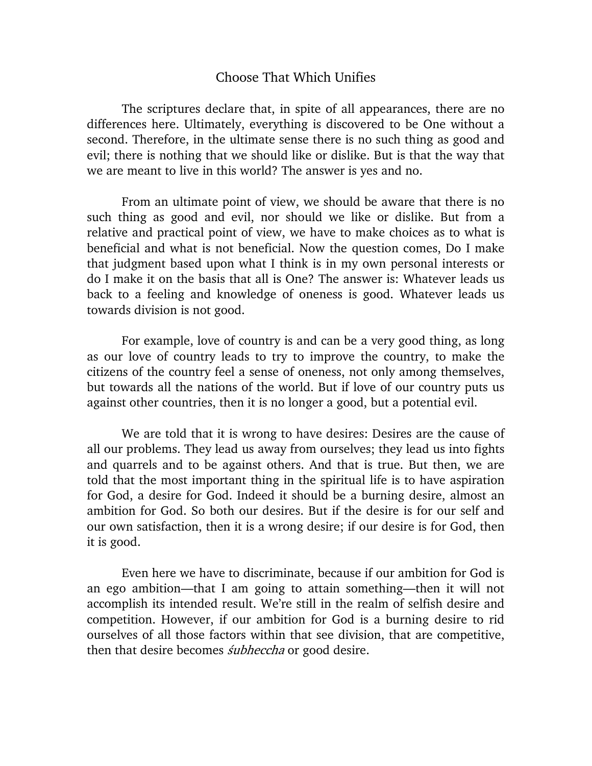## Choose That Which Unifies

The scriptures declare that, in spite of all appearances, there are no differences here. Ultimately, everything is discovered to be One without a second. Therefore, in the ultimate sense there is no such thing as good and evil; there is nothing that we should like or dislike. But is that the way that we are meant to live in this world? The answer is yes and no.

From an ultimate point of view, we should be aware that there is no such thing as good and evil, nor should we like or dislike. But from a relative and practical point of view, we have to make choices as to what is beneficial and what is not beneficial. Now the question comes, Do I make that judgment based upon what I think is in my own personal interests or do I make it on the basis that all is One? The answer is: Whatever leads us back to a feeling and knowledge of oneness is good. Whatever leads us towards division is not good.

For example, love of country is and can be a very good thing, as long as our love of country leads to try to improve the country, to make the citizens of the country feel a sense of oneness, not only among themselves, but towards all the nations of the world. But if love of our country puts us against other countries, then it is no longer a good, but a potential evil.

We are told that it is wrong to have desires: Desires are the cause of all our problems. They lead us away from ourselves; they lead us into fights and quarrels and to be against others. And that is true. But then, we are told that the most important thing in the spiritual life is to have aspiration for God, a desire for God. Indeed it should be a burning desire, almost an ambition for God. So both our desires. But if the desire is for our self and our own satisfaction, then it is a wrong desire; if our desire is for God, then it is good.

Even here we have to discriminate, because if our ambition for God is an ego ambition—that I am going to attain something—then it will not accomplish its intended result. We're still in the realm of selfish desire and competition. However, if our ambition for God is a burning desire to rid ourselves of all those factors within that see division, that are competitive, then that desire becomes *subheccha* or good desire.